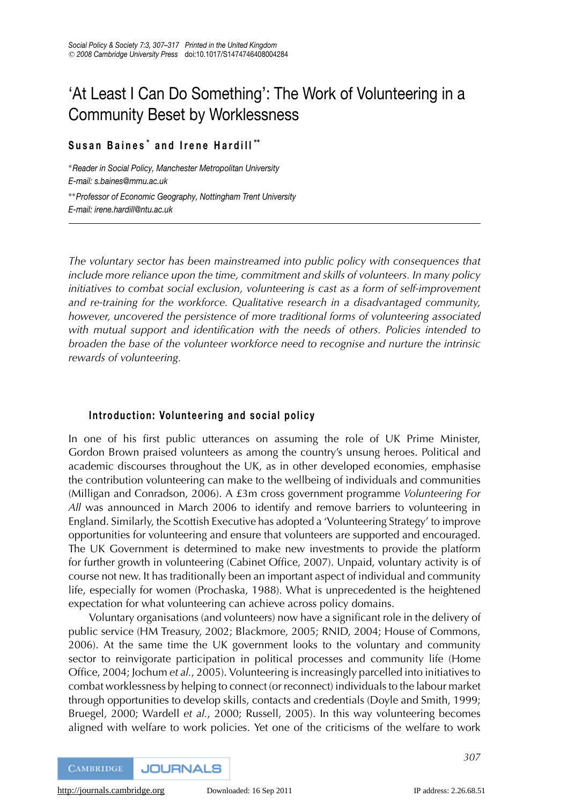# 'At Least I Can Do Something': The Work of Volunteering in a Community Beset by Worklessness

## **Susan Baines <sup>∗</sup> and Irene Hardill ∗∗**

∗*Reader in Social Policy, Manchester Metropolitan University E-mail: s.baines@mmu.ac.uk* ∗∗*Professor of Economic Geography, Nottingham Trent University E-mail: irene.hardill@ntu.ac.uk*

*The voluntary sector has been mainstreamed into public policy with consequences that include more reliance upon the time, commitment and skills of volunteers. In many policy initiatives to combat social exclusion, volunteering is cast as a form of self-improvement and re-training for the workforce. Qualitative research in a disadvantaged community, however, uncovered the persistence of more traditional forms of volunteering associated with mutual support and identification with the needs of others. Policies intended to broaden the base of the volunteer workforce need to recognise and nurture the intrinsic rewards of volunteering.*

## **Introduction: Volunteering and social policy**

In one of his first public utterances on assuming the role of UK Prime Minister, Gordon Brown praised volunteers as among the country's unsung heroes. Political and academic discourses throughout the UK, as in other developed economies, emphasise the contribution volunteering can make to the wellbeing of individuals and communities (Milligan and Conradson, 2006). A £3m cross government programme *Volunteering For All* was announced in March 2006 to identify and remove barriers to volunteering in England. Similarly, the Scottish Executive has adopted a 'Volunteering Strategy' to improve opportunities for volunteering and ensure that volunteers are supported and encouraged. The UK Government is determined to make new investments to provide the platform for further growth in volunteering (Cabinet Office, 2007). Unpaid, voluntary activity is of course not new. It has traditionally been an important aspect of individual and community life, especially for women (Prochaska, 1988). What is unprecedented is the heightened expectation for what volunteering can achieve across policy domains.

Voluntary organisations (and volunteers) now have a significant role in the delivery of public service (HM Treasury, 2002; Blackmore, 2005; RNID, 2004; House of Commons, 2006). At the same time the UK government looks to the voluntary and community sector to reinvigorate participation in political processes and community life (Home Office, 2004; Jochum *et al.*, 2005). Volunteering is increasingly parcelled into initiatives to combat worklessness by helping to connect (or reconnect) individuals to the labour market through opportunities to develop skills, contacts and credentials (Doyle and Smith, 1999; Bruegel, 2000; Wardell *et al.*, 2000; Russell, 2005). In this way volunteering becomes aligned with welfare to work policies. Yet one of the criticisms of the welfare to work

**CAMBRIDGE JOURNALS**  *307*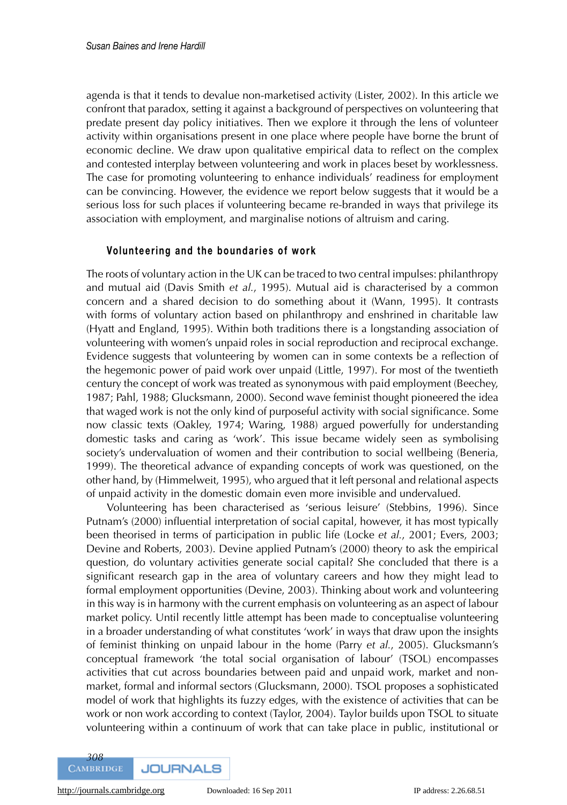agenda is that it tends to devalue non-marketised activity (Lister, 2002). In this article we confront that paradox, setting it against a background of perspectives on volunteering that predate present day policy initiatives. Then we explore it through the lens of volunteer activity within organisations present in one place where people have borne the brunt of economic decline. We draw upon qualitative empirical data to reflect on the complex and contested interplay between volunteering and work in places beset by worklessness. The case for promoting volunteering to enhance individuals' readiness for employment can be convincing. However, the evidence we report below suggests that it would be a serious loss for such places if volunteering became re-branded in ways that privilege its association with employment, and marginalise notions of altruism and caring.

## **Volunteering and the boundaries of work**

The roots of voluntary action in the UK can be traced to two central impulses: philanthropy and mutual aid (Davis Smith *et al.*, 1995). Mutual aid is characterised by a common concern and a shared decision to do something about it (Wann, 1995). It contrasts with forms of voluntary action based on philanthropy and enshrined in charitable law (Hyatt and England, 1995). Within both traditions there is a longstanding association of volunteering with women's unpaid roles in social reproduction and reciprocal exchange. Evidence suggests that volunteering by women can in some contexts be a reflection of the hegemonic power of paid work over unpaid (Little, 1997). For most of the twentieth century the concept of work was treated as synonymous with paid employment (Beechey, 1987; Pahl, 1988; Glucksmann, 2000). Second wave feminist thought pioneered the idea that waged work is not the only kind of purposeful activity with social significance. Some now classic texts (Oakley, 1974; Waring, 1988) argued powerfully for understanding domestic tasks and caring as 'work'. This issue became widely seen as symbolising society's undervaluation of women and their contribution to social wellbeing (Beneria, 1999). The theoretical advance of expanding concepts of work was questioned, on the other hand, by (Himmelweit, 1995), who argued that it left personal and relational aspects of unpaid activity in the domestic domain even more invisible and undervalued.

Volunteering has been characterised as 'serious leisure' (Stebbins, 1996). Since Putnam's (2000) influential interpretation of social capital, however, it has most typically been theorised in terms of participation in public life (Locke *et al.*, 2001; Evers, 2003; Devine and Roberts, 2003). Devine applied Putnam's (2000) theory to ask the empirical question, do voluntary activities generate social capital? She concluded that there is a significant research gap in the area of voluntary careers and how they might lead to formal employment opportunities (Devine, 2003). Thinking about work and volunteering in this way is in harmony with the current emphasis on volunteering as an aspect of labour market policy. Until recently little attempt has been made to conceptualise volunteering in a broader understanding of what constitutes 'work' in ways that draw upon the insights of feminist thinking on unpaid labour in the home (Parry *et al.*, 2005). Glucksmann's conceptual framework 'the total social organisation of labour' (TSOL) encompasses activities that cut across boundaries between paid and unpaid work, market and nonmarket, formal and informal sectors (Glucksmann, 2000). TSOL proposes a sophisticated model of work that highlights its fuzzy edges, with the existence of activities that can be work or non work according to context (Taylor, 2004). Taylor builds upon TSOL to situate volunteering within a continuum of work that can take place in public, institutional or

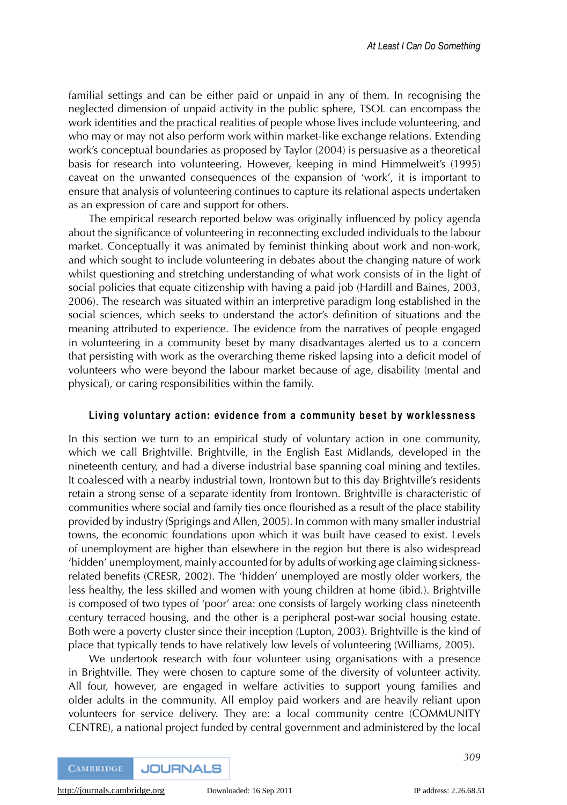familial settings and can be either paid or unpaid in any of them. In recognising the neglected dimension of unpaid activity in the public sphere, TSOL can encompass the work identities and the practical realities of people whose lives include volunteering, and who may or may not also perform work within market-like exchange relations. Extending work's conceptual boundaries as proposed by Taylor (2004) is persuasive as a theoretical basis for research into volunteering. However, keeping in mind Himmelweit's (1995) caveat on the unwanted consequences of the expansion of 'work', it is important to ensure that analysis of volunteering continues to capture its relational aspects undertaken as an expression of care and support for others.

The empirical research reported below was originally influenced by policy agenda about the significance of volunteering in reconnecting excluded individuals to the labour market. Conceptually it was animated by feminist thinking about work and non-work, and which sought to include volunteering in debates about the changing nature of work whilst questioning and stretching understanding of what work consists of in the light of social policies that equate citizenship with having a paid job (Hardill and Baines, 2003, 2006). The research was situated within an interpretive paradigm long established in the social sciences, which seeks to understand the actor's definition of situations and the meaning attributed to experience. The evidence from the narratives of people engaged in volunteering in a community beset by many disadvantages alerted us to a concern that persisting with work as the overarching theme risked lapsing into a deficit model of volunteers who were beyond the labour market because of age, disability (mental and physical), or caring responsibilities within the family.

## **Living voluntary action: evidence from a community beset by worklessness**

In this section we turn to an empirical study of voluntary action in one community, which we call Brightville. Brightville, in the English East Midlands, developed in the nineteenth century, and had a diverse industrial base spanning coal mining and textiles. It coalesced with a nearby industrial town, Irontown but to this day Brightville's residents retain a strong sense of a separate identity from Irontown. Brightville is characteristic of communities where social and family ties once flourished as a result of the place stability provided by industry (Sprigings and Allen, 2005). In common with many smaller industrial towns, the economic foundations upon which it was built have ceased to exist. Levels of unemployment are higher than elsewhere in the region but there is also widespread 'hidden' unemployment, mainly accounted for by adults of working age claiming sicknessrelated benefits (CRESR, 2002). The 'hidden' unemployed are mostly older workers, the less healthy, the less skilled and women with young children at home (ibid.). Brightville is composed of two types of 'poor' area: one consists of largely working class nineteenth century terraced housing, and the other is a peripheral post-war social housing estate. Both were a poverty cluster since their inception (Lupton, 2003). Brightville is the kind of place that typically tends to have relatively low levels of volunteering (Williams, 2005).

We undertook research with four volunteer using organisations with a presence in Brightville. They were chosen to capture some of the diversity of volunteer activity. All four, however, are engaged in welfare activities to support young families and older adults in the community. All employ paid workers and are heavily reliant upon volunteers for service delivery. They are: a local community centre (COMMUNITY CENTRE), a national project funded by central government and administered by the local

*309*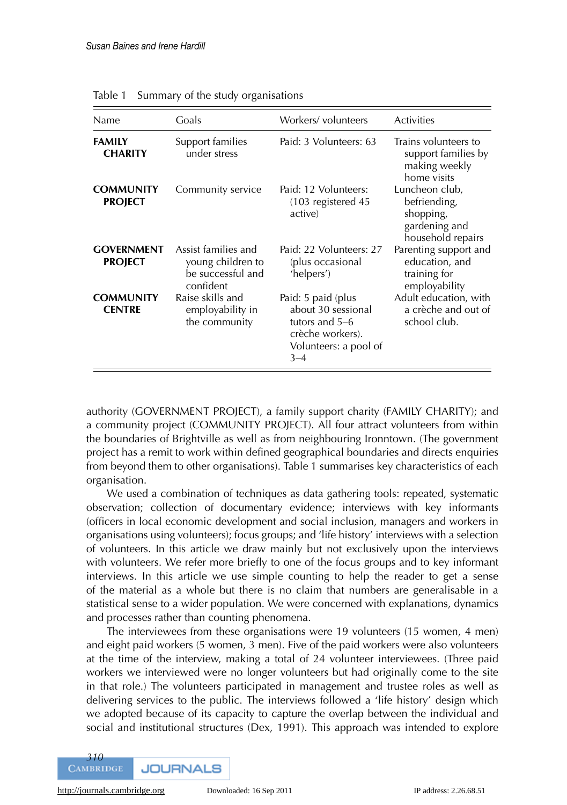| Name                                | Goals                                                                      | Workers/volunteers                                                                                                 | <b>Activities</b>                                                                 |
|-------------------------------------|----------------------------------------------------------------------------|--------------------------------------------------------------------------------------------------------------------|-----------------------------------------------------------------------------------|
| <b>FAMILY</b><br><b>CHARITY</b>     | Support families<br>under stress                                           | Paid: 3 Volunteers: 63                                                                                             | Trains volunteers to<br>support families by<br>making weekly<br>home visits       |
| <b>COMMUNITY</b><br><b>PROJECT</b>  | Community service                                                          | Paid: 12 Volunteers:<br>$(103$ registered 45<br>active)                                                            | Luncheon club,<br>befriending,<br>shopping,<br>gardening and<br>household repairs |
| <b>GOVERNMENT</b><br><b>PROJECT</b> | Assist families and<br>young children to<br>be successful and<br>confident | Paid: 22 Volunteers: 27<br>(plus occasional<br>'helpers')                                                          | Parenting support and<br>education, and<br>training for<br>employability          |
| <b>COMMUNITY</b><br><b>CENTRE</b>   | Raise skills and<br>employability in<br>the community                      | Paid: 5 paid (plus<br>about 30 sessional<br>tutors and 5–6<br>crèche workers).<br>Volunteers: a pool of<br>$3 - 4$ | Adult education, with<br>a crèche and out of<br>school club.                      |

Table 1 Summary of the study organisations

authority (GOVERNMENT PROJECT), a family support charity (FAMILY CHARITY); and a community project (COMMUNITY PROJECT). All four attract volunteers from within the boundaries of Brightville as well as from neighbouring Ironntown. (The government project has a remit to work within defined geographical boundaries and directs enquiries from beyond them to other organisations). Table 1 summarises key characteristics of each organisation.

We used a combination of techniques as data gathering tools: repeated, systematic observation; collection of documentary evidence; interviews with key informants (officers in local economic development and social inclusion, managers and workers in organisations using volunteers); focus groups; and 'life history' interviews with a selection of volunteers. In this article we draw mainly but not exclusively upon the interviews with volunteers. We refer more briefly to one of the focus groups and to key informant interviews. In this article we use simple counting to help the reader to get a sense of the material as a whole but there is no claim that numbers are generalisable in a statistical sense to a wider population. We were concerned with explanations, dynamics and processes rather than counting phenomena.

The interviewees from these organisations were 19 volunteers (15 women, 4 men) and eight paid workers (5 women, 3 men). Five of the paid workers were also volunteers at the time of the interview, making a total of 24 volunteer interviewees. (Three paid workers we interviewed were no longer volunteers but had originally come to the site in that role.) The volunteers participated in management and trustee roles as well as delivering services to the public. The interviews followed a 'life history' design which we adopted because of its capacity to capture the overlap between the individual and social and institutional structures (Dex, 1991). This approach was intended to explore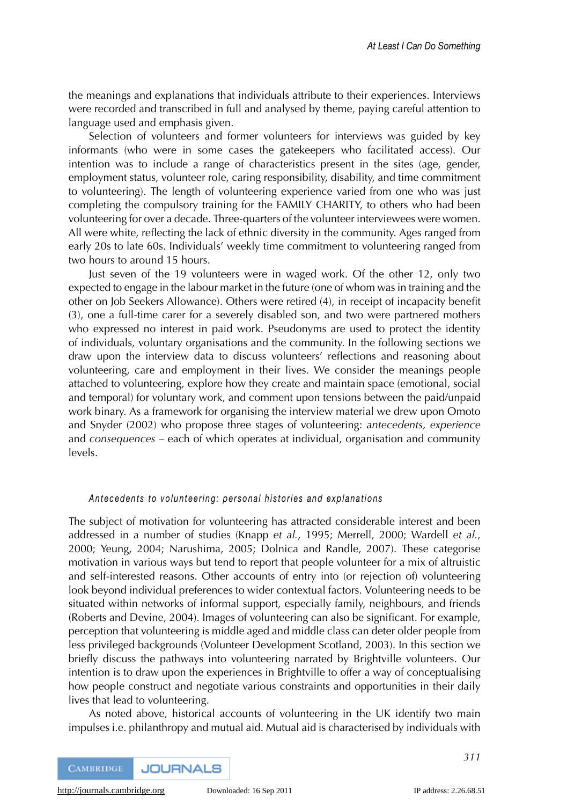the meanings and explanations that individuals attribute to their experiences. Interviews were recorded and transcribed in full and analysed by theme, paying careful attention to language used and emphasis given.

Selection of volunteers and former volunteers for interviews was guided by key informants (who were in some cases the gatekeepers who facilitated access). Our intention was to include a range of characteristics present in the sites (age, gender, employment status, volunteer role, caring responsibility, disability, and time commitment to volunteering). The length of volunteering experience varied from one who was just completing the compulsory training for the FAMILY CHARITY, to others who had been volunteering for over a decade. Three-quarters of the volunteer interviewees were women. All were white, reflecting the lack of ethnic diversity in the community. Ages ranged from early 20s to late 60s. Individuals' weekly time commitment to volunteering ranged from two hours to around 15 hours.

Just seven of the 19 volunteers were in waged work. Of the other 12, only two expected to engage in the labour market in the future (one of whom was in training and the other on Job Seekers Allowance). Others were retired (4), in receipt of incapacity benefit (3), one a full-time carer for a severely disabled son, and two were partnered mothers who expressed no interest in paid work. Pseudonyms are used to protect the identity of individuals, voluntary organisations and the community. In the following sections we draw upon the interview data to discuss volunteers' reflections and reasoning about volunteering, care and employment in their lives. We consider the meanings people attached to volunteering, explore how they create and maintain space (emotional, social and temporal) for voluntary work, and comment upon tensions between the paid/unpaid work binary. As a framework for organising the interview material we drew upon Omoto and Snyder (2002) who propose three stages of volunteering: *antecedents, experience* and *consequences* – each of which operates at individual, organisation and community levels.

#### *Antecedents to volunteering: personal histories and explanations*

The subject of motivation for volunteering has attracted considerable interest and been addressed in a number of studies (Knapp *et al.*, 1995; Merrell, 2000; Wardell *et al.*, 2000; Yeung, 2004; Narushima, 2005; Dolnica and Randle, 2007). These categorise motivation in various ways but tend to report that people volunteer for a mix of altruistic and self-interested reasons. Other accounts of entry into (or rejection of) volunteering look beyond individual preferences to wider contextual factors. Volunteering needs to be situated within networks of informal support, especially family, neighbours, and friends (Roberts and Devine, 2004). Images of volunteering can also be significant. For example, perception that volunteering is middle aged and middle class can deter older people from less privileged backgrounds (Volunteer Development Scotland, 2003). In this section we briefly discuss the pathways into volunteering narrated by Brightville volunteers. Our intention is to draw upon the experiences in Brightville to offer a way of conceptualising how people construct and negotiate various constraints and opportunities in their daily lives that lead to volunteering.

As noted above, historical accounts of volunteering in the UK identify two main impulses i.e. philanthropy and mutual aid. Mutual aid is characterised by individuals with

**CAMBRIDGE JOURNALS**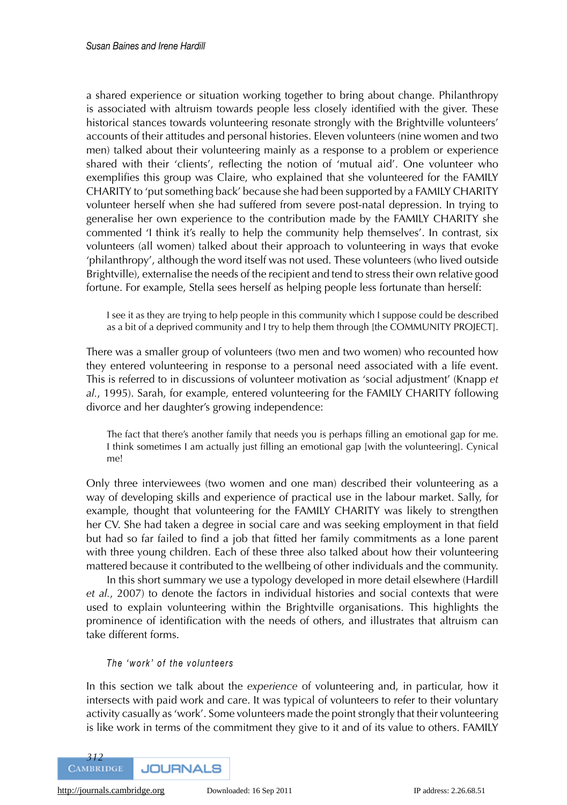a shared experience or situation working together to bring about change. Philanthropy is associated with altruism towards people less closely identified with the giver. These historical stances towards volunteering resonate strongly with the Brightville volunteers' accounts of their attitudes and personal histories. Eleven volunteers (nine women and two men) talked about their volunteering mainly as a response to a problem or experience shared with their 'clients', reflecting the notion of 'mutual aid'. One volunteer who exemplifies this group was Claire, who explained that she volunteered for the FAMILY CHARITY to 'put something back' because she had been supported by a FAMILY CHARITY volunteer herself when she had suffered from severe post-natal depression. In trying to generalise her own experience to the contribution made by the FAMILY CHARITY she commented 'I think it's really to help the community help themselves'. In contrast, six volunteers (all women) talked about their approach to volunteering in ways that evoke 'philanthropy', although the word itself was not used. These volunteers (who lived outside Brightville), externalise the needs of the recipient and tend to stress their own relative good fortune. For example, Stella sees herself as helping people less fortunate than herself:

I see it as they are trying to help people in this community which I suppose could be described as a bit of a deprived community and I try to help them through [the COMMUNITY PROJECT].

There was a smaller group of volunteers (two men and two women) who recounted how they entered volunteering in response to a personal need associated with a life event. This is referred to in discussions of volunteer motivation as 'social adjustment' (Knapp *et al.*, 1995). Sarah, for example, entered volunteering for the FAMILY CHARITY following divorce and her daughter's growing independence:

The fact that there's another family that needs you is perhaps filling an emotional gap for me. I think sometimes I am actually just filling an emotional gap [with the volunteering]. Cynical me!

Only three interviewees (two women and one man) described their volunteering as a way of developing skills and experience of practical use in the labour market. Sally, for example, thought that volunteering for the FAMILY CHARITY was likely to strengthen her CV. She had taken a degree in social care and was seeking employment in that field but had so far failed to find a job that fitted her family commitments as a lone parent with three young children. Each of these three also talked about how their volunteering mattered because it contributed to the wellbeing of other individuals and the community.

In this short summary we use a typology developed in more detail elsewhere (Hardill *et al.*, 2007) to denote the factors in individual histories and social contexts that were used to explain volunteering within the Brightville organisations. This highlights the prominence of identification with the needs of others, and illustrates that altruism can take different forms.

## *The 'work' of the volunteers*

In this section we talk about the *experience* of volunteering and, in particular, how it intersects with paid work and care. It was typical of volunteers to refer to their voluntary activity casually as 'work'. Some volunteers made the point strongly that their volunteering is like work in terms of the commitment they give to it and of its value to others. FAMILY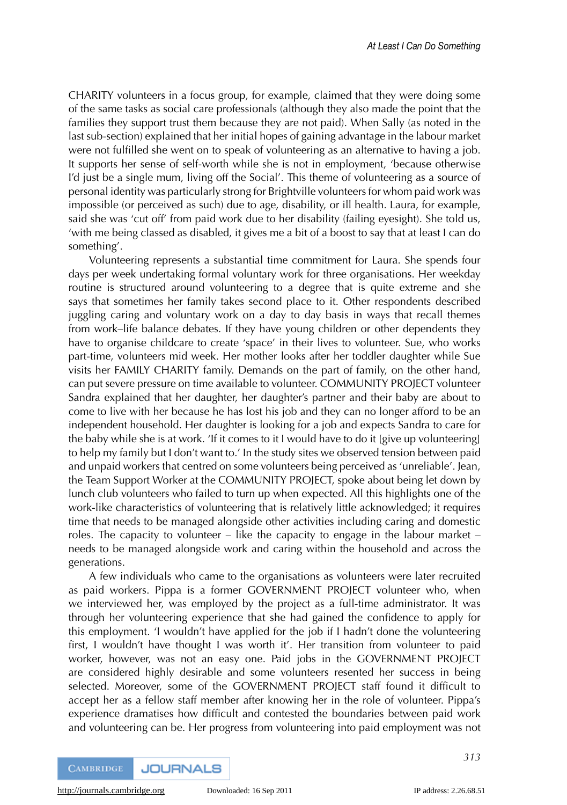CHARITY volunteers in a focus group, for example, claimed that they were doing some of the same tasks as social care professionals (although they also made the point that the families they support trust them because they are not paid). When Sally (as noted in the last sub-section) explained that her initial hopes of gaining advantage in the labour market were not fulfilled she went on to speak of volunteering as an alternative to having a job. It supports her sense of self-worth while she is not in employment, 'because otherwise I'd just be a single mum, living off the Social'. This theme of volunteering as a source of personal identity was particularly strong for Brightville volunteers for whom paid work was impossible (or perceived as such) due to age, disability, or ill health. Laura, for example, said she was 'cut off' from paid work due to her disability (failing eyesight). She told us, 'with me being classed as disabled, it gives me a bit of a boost to say that at least I can do something'.

Volunteering represents a substantial time commitment for Laura. She spends four days per week undertaking formal voluntary work for three organisations. Her weekday routine is structured around volunteering to a degree that is quite extreme and she says that sometimes her family takes second place to it. Other respondents described juggling caring and voluntary work on a day to day basis in ways that recall themes from work–life balance debates. If they have young children or other dependents they have to organise childcare to create 'space' in their lives to volunteer. Sue, who works part-time, volunteers mid week. Her mother looks after her toddler daughter while Sue visits her FAMILY CHARITY family. Demands on the part of family, on the other hand, can put severe pressure on time available to volunteer. COMMUNITY PROJECT volunteer Sandra explained that her daughter, her daughter's partner and their baby are about to come to live with her because he has lost his job and they can no longer afford to be an independent household. Her daughter is looking for a job and expects Sandra to care for the baby while she is at work. 'If it comes to it I would have to do it [give up volunteering] to help my family but I don't want to.' In the study sites we observed tension between paid and unpaid workers that centred on some volunteers being perceived as 'unreliable'. Jean, the Team Support Worker at the COMMUNITY PROJECT, spoke about being let down by lunch club volunteers who failed to turn up when expected. All this highlights one of the work-like characteristics of volunteering that is relatively little acknowledged; it requires time that needs to be managed alongside other activities including caring and domestic roles. The capacity to volunteer – like the capacity to engage in the labour market – needs to be managed alongside work and caring within the household and across the generations.

A few individuals who came to the organisations as volunteers were later recruited as paid workers. Pippa is a former GOVERNMENT PROJECT volunteer who, when we interviewed her, was employed by the project as a full-time administrator. It was through her volunteering experience that she had gained the confidence to apply for this employment. 'I wouldn't have applied for the job if I hadn't done the volunteering first, I wouldn't have thought I was worth it'. Her transition from volunteer to paid worker, however, was not an easy one. Paid jobs in the GOVERNMENT PROJECT are considered highly desirable and some volunteers resented her success in being selected. Moreover, some of the GOVERNMENT PROJECT staff found it difficult to accept her as a fellow staff member after knowing her in the role of volunteer. Pippa's experience dramatises how difficult and contested the boundaries between paid work and volunteering can be. Her progress from volunteering into paid employment was not

**CAMBRIDGE JOURNALS**  *313*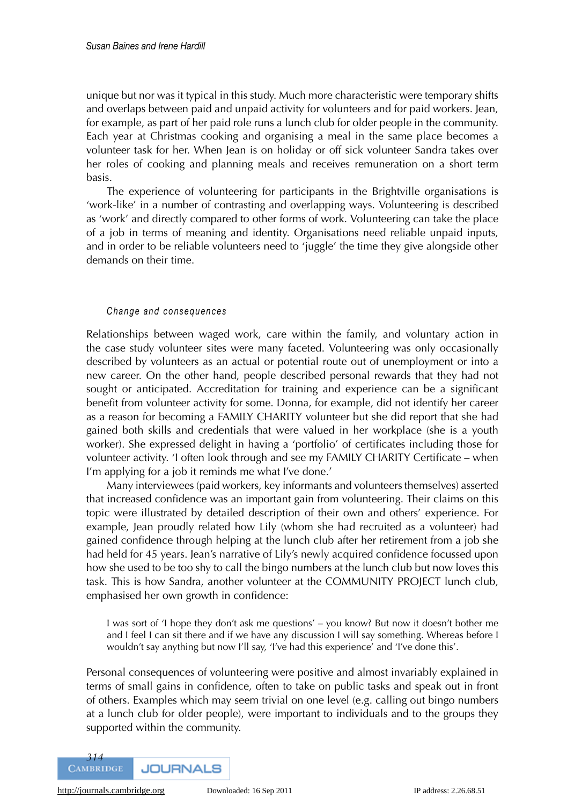unique but nor was it typical in this study. Much more characteristic were temporary shifts and overlaps between paid and unpaid activity for volunteers and for paid workers. Jean, for example, as part of her paid role runs a lunch club for older people in the community. Each year at Christmas cooking and organising a meal in the same place becomes a volunteer task for her. When Jean is on holiday or off sick volunteer Sandra takes over her roles of cooking and planning meals and receives remuneration on a short term basis.

The experience of volunteering for participants in the Brightville organisations is 'work-like' in a number of contrasting and overlapping ways. Volunteering is described as 'work' and directly compared to other forms of work. Volunteering can take the place of a job in terms of meaning and identity. Organisations need reliable unpaid inputs, and in order to be reliable volunteers need to 'juggle' the time they give alongside other demands on their time.

#### *Change and consequences*

Relationships between waged work, care within the family, and voluntary action in the case study volunteer sites were many faceted. Volunteering was only occasionally described by volunteers as an actual or potential route out of unemployment or into a new career. On the other hand, people described personal rewards that they had not sought or anticipated. Accreditation for training and experience can be a significant benefit from volunteer activity for some. Donna, for example, did not identify her career as a reason for becoming a FAMILY CHARITY volunteer but she did report that she had gained both skills and credentials that were valued in her workplace (she is a youth worker). She expressed delight in having a 'portfolio' of certificates including those for volunteer activity. 'I often look through and see my FAMILY CHARITY Certificate – when I'm applying for a job it reminds me what I've done.'

Many interviewees (paid workers, key informants and volunteers themselves) asserted that increased confidence was an important gain from volunteering. Their claims on this topic were illustrated by detailed description of their own and others' experience. For example, Jean proudly related how Lily (whom she had recruited as a volunteer) had gained confidence through helping at the lunch club after her retirement from a job she had held for 45 years. Jean's narrative of Lily's newly acquired confidence focussed upon how she used to be too shy to call the bingo numbers at the lunch club but now loves this task. This is how Sandra, another volunteer at the COMMUNITY PROJECT lunch club, emphasised her own growth in confidence:

I was sort of 'I hope they don't ask me questions' – you know? But now it doesn't bother me and I feel I can sit there and if we have any discussion I will say something. Whereas before I wouldn't say anything but now I'll say, 'I've had this experience' and 'I've done this'.

Personal consequences of volunteering were positive and almost invariably explained in terms of small gains in confidence, often to take on public tasks and speak out in front of others. Examples which may seem trivial on one level (e.g. calling out bingo numbers at a lunch club for older people), were important to individuals and to the groups they supported within the community.

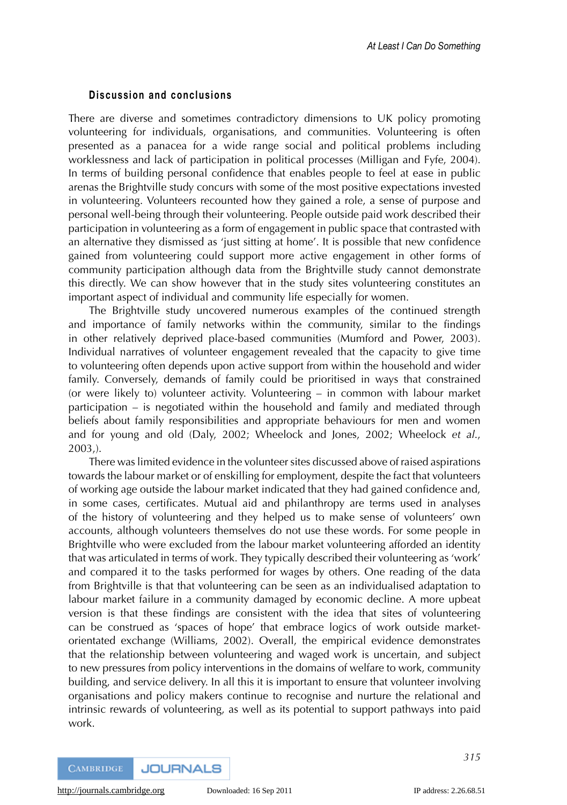## **Discussion and conclusions**

There are diverse and sometimes contradictory dimensions to UK policy promoting volunteering for individuals, organisations, and communities. Volunteering is often presented as a panacea for a wide range social and political problems including worklessness and lack of participation in political processes (Milligan and Fyfe, 2004). In terms of building personal confidence that enables people to feel at ease in public arenas the Brightville study concurs with some of the most positive expectations invested in volunteering. Volunteers recounted how they gained a role, a sense of purpose and personal well-being through their volunteering. People outside paid work described their participation in volunteering as a form of engagement in public space that contrasted with an alternative they dismissed as 'just sitting at home'. It is possible that new confidence gained from volunteering could support more active engagement in other forms of community participation although data from the Brightville study cannot demonstrate this directly. We can show however that in the study sites volunteering constitutes an important aspect of individual and community life especially for women.

The Brightville study uncovered numerous examples of the continued strength and importance of family networks within the community, similar to the findings in other relatively deprived place-based communities (Mumford and Power, 2003). Individual narratives of volunteer engagement revealed that the capacity to give time to volunteering often depends upon active support from within the household and wider family. Conversely, demands of family could be prioritised in ways that constrained (or were likely to) volunteer activity. Volunteering – in common with labour market participation – is negotiated within the household and family and mediated through beliefs about family responsibilities and appropriate behaviours for men and women and for young and old (Daly, 2002; Wheelock and Jones, 2002; Wheelock *et al*., 2003,).

There was limited evidence in the volunteer sites discussed above of raised aspirations towards the labour market or of enskilling for employment, despite the fact that volunteers of working age outside the labour market indicated that they had gained confidence and, in some cases, certificates. Mutual aid and philanthropy are terms used in analyses of the history of volunteering and they helped us to make sense of volunteers' own accounts, although volunteers themselves do not use these words. For some people in Brightville who were excluded from the labour market volunteering afforded an identity that was articulated in terms of work. They typically described their volunteering as 'work' and compared it to the tasks performed for wages by others. One reading of the data from Brightville is that that volunteering can be seen as an individualised adaptation to labour market failure in a community damaged by economic decline. A more upbeat version is that these findings are consistent with the idea that sites of volunteering can be construed as 'spaces of hope' that embrace logics of work outside marketorientated exchange (Williams, 2002). Overall, the empirical evidence demonstrates that the relationship between volunteering and waged work is uncertain, and subject to new pressures from policy interventions in the domains of welfare to work, community building, and service delivery. In all this it is important to ensure that volunteer involving organisations and policy makers continue to recognise and nurture the relational and intrinsic rewards of volunteering, as well as its potential to support pathways into paid work.

**CAMBRIDGE JOURNALS**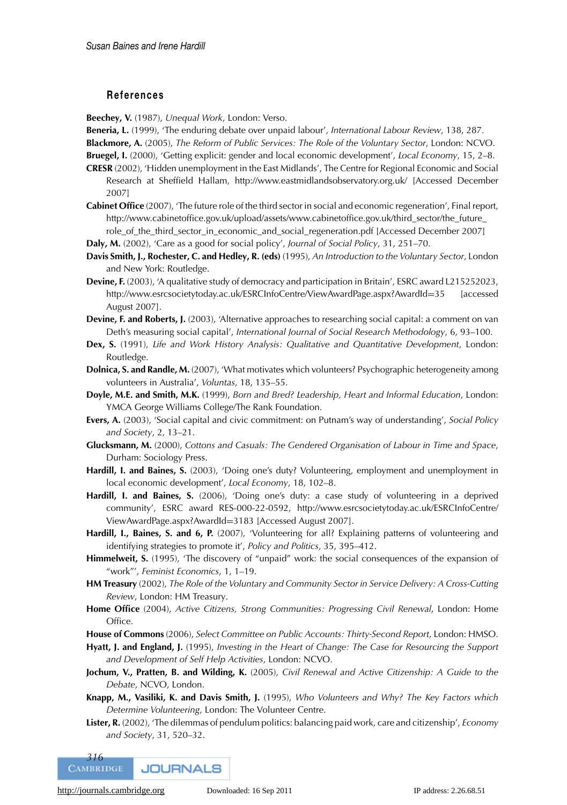## **References**

**Beechey, V.** (1987), *Unequal Work*, London: Verso.

**Beneria, L.** (1999), 'The enduring debate over unpaid labour', *International Labour Review*, 138, 287.

**Blackmore, A.** (2005), *The Reform of Public Services: The Role of the Voluntary Sector*, London: NCVO.

- **Bruegel, I.** (2000), 'Getting explicit: gender and local economic development', *Local Economy*, 15, 2–8.
- **CRESR** (2002), 'Hidden unemployment in the East Midlands', The Centre for Regional Economic and Social Research at Sheffield Hallam, http://www.eastmidlandsobservatory.org.uk/ [Accessed December 2007]
- **Cabinet Office** (2007), 'The future role of the third sector in social and economic regeneration', Final report, http://www.cabinetoffice.gov.uk/upload/assets/www.cabinetoffice.gov.uk/third\_sector/the\_future\_ role\_of\_the\_third\_sector\_in\_economic\_and\_social\_regeneration.pdf [Accessed December 2007]

**Daly, M.** (2002), 'Care as a good for social policy', *Journal of Social Policy*, 31, 251–70.

- **Davis Smith, J., Rochester, C. and Hedley, R. (eds)** (1995), *An Introduction to the Voluntary Sector*, London and New York: Routledge.
- **Devine, F.** (2003), 'A qualitative study of democracy and participation in Britain', ESRC award L215252023, http://www.esrcsocietytoday.ac.uk/ESRCInfoCentre/ViewAwardPage.aspx?AwardId=35 [accessed August 2007].
- **Devine, F. and Roberts, J.** (2003), 'Alternative approaches to researching social capital: a comment on van Deth's measuring social capital', *International Journal of Social Research Methodology*, 6, 93–100.
- **Dex, S.** (1991), *Life and Work History Analysis: Qualitative and Quantitative Development*, London: Routledge.
- **Dolnica, S. and Randle, M.** (2007), 'What motivates which volunteers? Psychographic heterogeneity among volunteers in Australia', *Voluntas*, 18, 135–55.
- **Doyle, M.E. and Smith, M.K.** (1999), *Born and Bred? Leadership, Heart and Informal Education*, London: YMCA George Williams College/The Rank Foundation.
- **Evers, A.** (2003), 'Social capital and civic commitment: on Putnam's way of understanding', *Social Policy and Society*, 2, 13–21.
- **Glucksmann, M.** (2000), *Cottons and Casuals: The Gendered Organisation of Labour in Time and Space*, Durham: Sociology Press.
- **Hardill, I. and Baines, S.** (2003), 'Doing one's duty? Volunteering, employment and unemployment in local economic development', *Local Economy*, 18, 102–8.
- **Hardill, I. and Baines, S.** (2006), 'Doing one's duty: a case study of volunteering in a deprived community', ESRC award RES-000-22-0592, http://www.esrcsocietytoday.ac.uk/ESRCInfoCentre/ ViewAwardPage.aspx?AwardId=3183 [Accessed August 2007].
- **Hardill, I., Baines, S. and 6, P.** (2007), 'Volunteering for all? Explaining patterns of volunteering and identifying strategies to promote it', *Policy and Politics*, 35, 395–412.
- **Himmelweit, S.** (1995), 'The discovery of "unpaid" work: the social consequences of the expansion of "work"', *Feminist Economics*, 1, 1–19.
- **HM Treasury** (2002), *The Role of the Voluntary and Community Sector in Service Delivery: A Cross-Cutting Review*, London: HM Treasury.
- **Home Office** (2004), *Active Citizens, Strong Communities: Progressing Civil Renewal*, London: Home Office.
- **House of Commons** (2006), *Select Committee on Public Accounts: Thirty-Second Report*, London: HMSO.

**Hyatt, J. and England, J.** (1995), *Investing in the Heart of Change: The Case for Resourcing the Support and Development of Self Help Activities*, London: NCVO.

- **Jochum, V., Pratten, B. and Wilding, K.** (2005), *Civil Renewal and Active Citizenship: A Guide to the Debate*, NCVO, London.
- **Knapp, M., Vasiliki, K. and Davis Smith, J.** (1995), *Who Volunteers and Why? The Key Factors which Determine Volunteering*, London: The Volunteer Centre.
- **Lister, R.** (2002), 'The dilemmas of pendulum politics: balancing paid work, care and citizenship', *Economy and Society*, 31, 520–32.

*316***JOURNALS CAMBRIDGE**